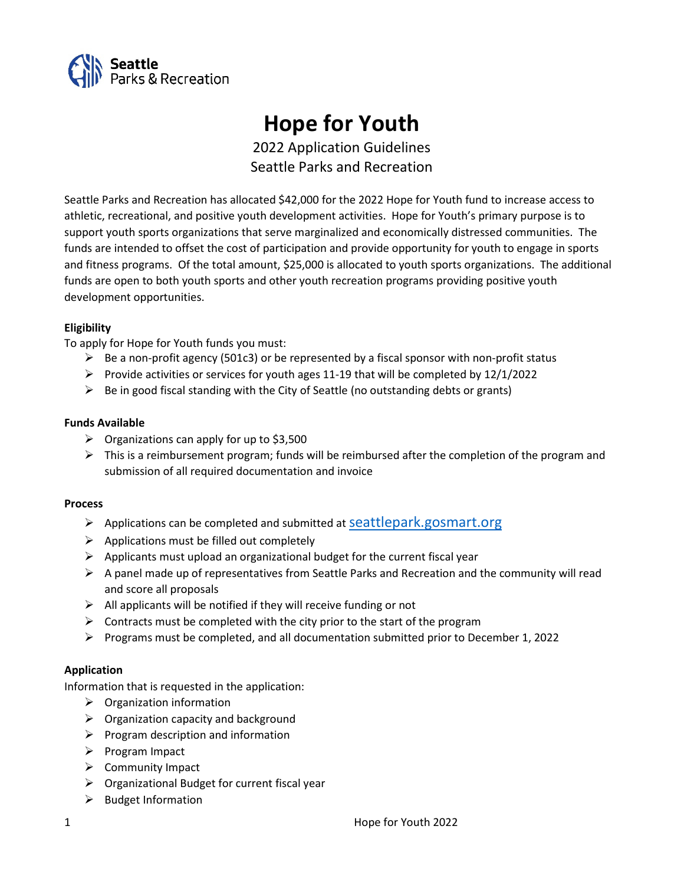

# Hope for Youth

2022 Application Guidelines Seattle Parks and Recreation

Seattle Parks and Recreation has allocated \$42,000 for the 2022 Hope for Youth fund to increase access to athletic, recreational, and positive youth development activities. Hope for Youth's primary purpose is to support youth sports organizations that serve marginalized and economically distressed communities. The funds are intended to offset the cost of participation and provide opportunity for youth to engage in sports and fitness programs. Of the total amount, \$25,000 is allocated to youth sports organizations. The additional funds are open to both youth sports and other youth recreation programs providing positive youth development opportunities.

## **Eligibility**

To apply for Hope for Youth funds you must:

- $\triangleright$  Be a non-profit agency (501c3) or be represented by a fiscal sponsor with non-profit status
- Provide activities or services for youth ages 11-19 that will be completed by  $12/1/2022$
- $\triangleright$  Be in good fiscal standing with the City of Seattle (no outstanding debts or grants)

## Funds Available

- $\triangleright$  Organizations can apply for up to \$3,500
- $\triangleright$  This is a reimbursement program; funds will be reimbursed after the completion of the program and submission of all required documentation and invoice

#### **Process**

- $\triangleright$  Applications can be completed and submitted at Seattlepark.gosmart.org
- $\triangleright$  Applications must be filled out completely
- $\triangleright$  Applicants must upload an organizational budget for the current fiscal year
- $\triangleright$  A panel made up of representatives from Seattle Parks and Recreation and the community will read and score all proposals
- $\triangleright$  All applicants will be notified if they will receive funding or not
- $\triangleright$  Contracts must be completed with the city prior to the start of the program
- Programs must be completed, and all documentation submitted prior to December 1, 2022

# Application

Information that is requested in the application:

- $\triangleright$  Organization information
- $\triangleright$  Organization capacity and background
- $\triangleright$  Program description and information
- $\triangleright$  Program Impact
- $\triangleright$  Community Impact
- $\triangleright$  Organizational Budget for current fiscal year
- $\triangleright$  Budget Information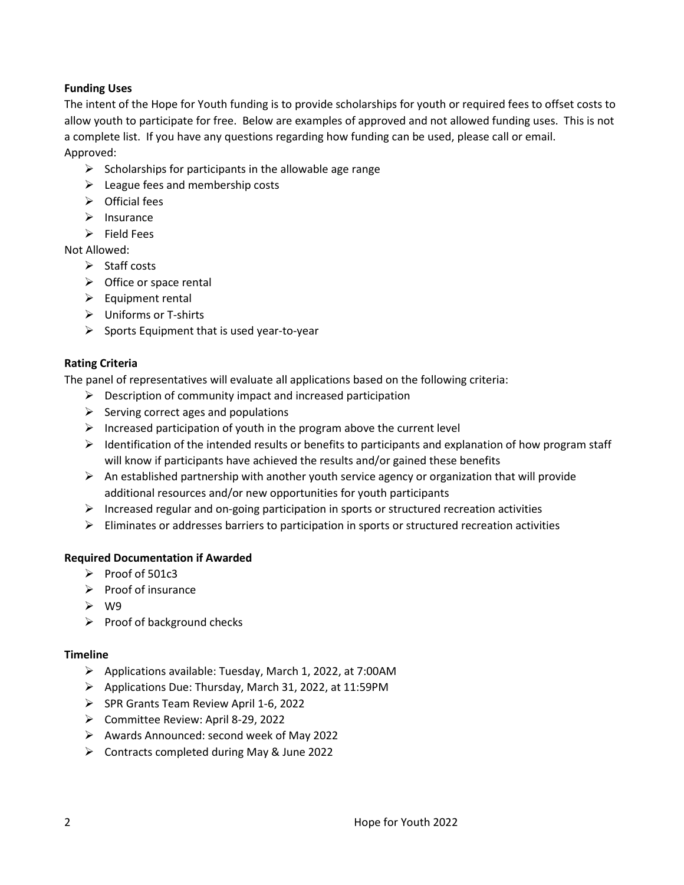# Funding Uses

The intent of the Hope for Youth funding is to provide scholarships for youth or required fees to offset costs to allow youth to participate for free. Below are examples of approved and not allowed funding uses. This is not a complete list. If you have any questions regarding how funding can be used, please call or email. Approved:

- $\triangleright$  Scholarships for participants in the allowable age range
- $\triangleright$  League fees and membership costs
- $\triangleright$  Official fees
- $\triangleright$  Insurance
- $\triangleright$  Field Fees

Not Allowed:

- $\triangleright$  Staff costs
- $\triangleright$  Office or space rental
- $\triangleright$  Equipment rental
- Uniforms or T-shirts
- $\triangleright$  Sports Equipment that is used year-to-year

#### Rating Criteria

The panel of representatives will evaluate all applications based on the following criteria:

- $\triangleright$  Description of community impact and increased participation
- $\triangleright$  Serving correct ages and populations
- $\triangleright$  Increased participation of youth in the program above the current level
- $\triangleright$  Identification of the intended results or benefits to participants and explanation of how program staff will know if participants have achieved the results and/or gained these benefits
- $\triangleright$  An established partnership with another youth service agency or organization that will provide additional resources and/or new opportunities for youth participants
- $\triangleright$  Increased regular and on-going participation in sports or structured recreation activities
- $\triangleright$  Eliminates or addresses barriers to participation in sports or structured recreation activities

#### Required Documentation if Awarded

- $\triangleright$  Proof of 501c3
- $\triangleright$  Proof of insurance
- $\triangleright$  W9
- $\triangleright$  Proof of background checks

#### **Timeline**

- $\triangleright$  Applications available: Tuesday, March 1, 2022, at 7:00AM
- Applications Due: Thursday, March 31, 2022, at 11:59PM
- SPR Grants Team Review April 1-6, 2022
- Committee Review: April 8-29, 2022
- $\triangleright$  Awards Announced: second week of May 2022
- $\triangleright$  Contracts completed during May & June 2022